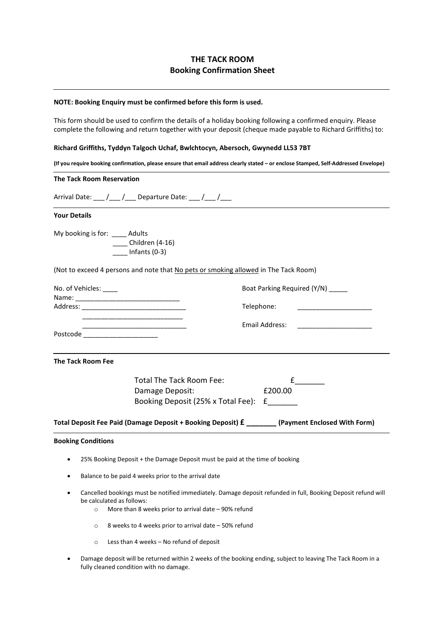# THE TACK ROOM Booking Confirmation Sheet

## NOTE: Booking Enquiry must be confirmed before this form is used.

This form should be used to confirm the details of a holiday booking following a confirmed enquiry. Please complete the following and return together with your deposit (cheque made payable to Richard Griffiths) to:

## Richard Griffiths, Tyddyn Talgoch Uchaf, Bwlchtocyn, Abersoch, Gwynedd LL53 7BT

(If you require booking confirmation, please ensure that email address clearly stated – or enclose Stamped, Self-Addressed Envelope)

#### **The Tack Room** Reservation

Arrival Date:  $\frac{1}{\sqrt{2}}$  /  $\frac{1}{\sqrt{2}}$  Departure Date:  $\frac{1}{\sqrt{2}}$  /  $\frac{1}{\sqrt{2}}$ 

#### Your Details

My booking is for: Adults \_\_\_\_ Children (4-16)  $\frac{1}{2}$  Infants (0-3)

(Not to exceed 4 persons and note that No pets or smoking allowed in The Tack Room)

| No. of Vehicles: _____ | Boat Parking Required (Y/N) ______ |
|------------------------|------------------------------------|
| Name:                  |                                    |
| Address:               | Telephone:                         |
|                        | Email Address:                     |
| Postcode               |                                    |

The Tack Room Fee

Total The Tack Room Fee: <br>
<u>E</u> Damage Deposit: <br>
£200.00 Booking Deposit (25% x Total Fee): £\_\_\_\_\_\_\_

Total Deposit Fee Paid (Damage Deposit + Booking Deposit) £ \_\_\_\_\_\_\_ (Payment Enclosed With Form)

### Booking Conditions

- 25% Booking Deposit + the Damage Deposit must be paid at the time of booking
- Balance to be paid 4 weeks prior to the arrival date
- Cancelled bookings must be notified immediately. Damage deposit refunded in full, Booking Deposit refund will be calculated as follows:
	- o More than 8 weeks prior to arrival date 90% refund
	- o 8 weeks to 4 weeks prior to arrival date 50% refund
	- o Less than 4 weeks No refund of deposit
- Damage deposit will be returned within 2 weeks of the booking ending, subject to leaving The Tack Room in a fully cleaned condition with no damage.